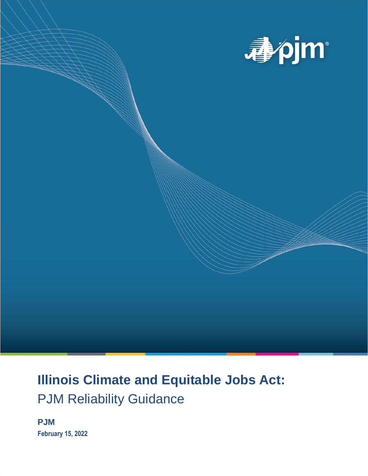

# **Illinois Climate and Equitable Jobs Act:** PJM Reliability Guidance

**PJM February 15, 2022**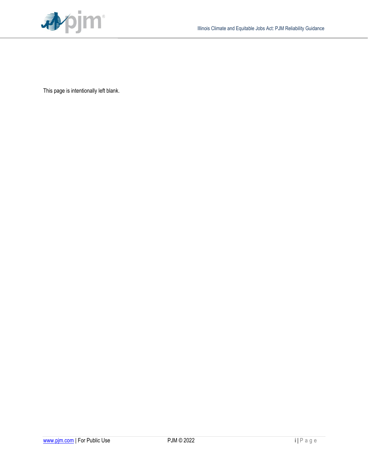

This page is intentionally left blank.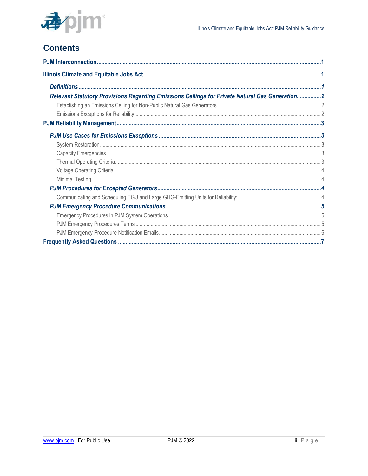

## **Contents**

| Relevant Statutory Provisions Regarding Emissions Ceilings for Private Natural Gas Generation2 |  |
|------------------------------------------------------------------------------------------------|--|
|                                                                                                |  |
|                                                                                                |  |
|                                                                                                |  |
|                                                                                                |  |
|                                                                                                |  |
|                                                                                                |  |
|                                                                                                |  |
|                                                                                                |  |
|                                                                                                |  |
|                                                                                                |  |
|                                                                                                |  |
|                                                                                                |  |
|                                                                                                |  |
|                                                                                                |  |
|                                                                                                |  |
|                                                                                                |  |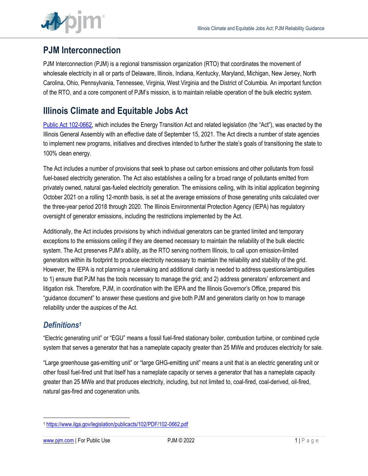

# <span id="page-3-0"></span>**PJM Interconnection**

PJM Interconnection (PJM) is a regional transmission organization (RTO) that coordinates the movement of wholesale electricity in all or parts of Delaware, Illinois, Indiana, Kentucky, Maryland, Michigan, New Jersey, North Carolina, Ohio, Pennsylvania, Tennessee, Virginia, West Virginia and the District of Columbia. An important function of the RTO, and a core component of PJM's mission, is to maintain reliable operation of the bulk electric system.

# <span id="page-3-1"></span>**Illinois Climate and Equitable Jobs Act**

[Public Act 102-0662,](https://www.ilga.gov/legislation/publicacts/102/PDF/102-0662.pdf) which includes the Energy Transition Act and related legislation (the "Act"), was enacted by the Illinois General Assembly with an effective date of September 15, 2021. The Act directs a number of state agencies to implement new programs, initiatives and directives intended to further the state's goals of transitioning the state to 100% clean energy.

The Act includes a number of provisions that seek to phase out carbon emissions and other pollutants from fossil fuel-based electricity generation. The Act also establishes a ceiling for a broad range of pollutants emitted from privately owned, natural gas-fueled electricity generation. The emissions ceiling, with its initial application beginning October 2021 on a rolling 12-month basis, is set at the average emissions of those generating units calculated over the three-year period 2018 through 2020. The Illinois Environmental Protection Agency (IEPA) has regulatory oversight of generator emissions, including the restrictions implemented by the Act.

Additionally, the Act includes provisions by which individual generators can be granted limited and temporary exceptions to the emissions ceiling if they are deemed necessary to maintain the reliability of the bulk electric system. The Act preserves PJM's ability, as the RTO serving northern Illinois, to call upon emission-limited generators within its footprint to produce electricity necessary to maintain the reliability and stability of the grid. However, the IEPA is not planning a rulemaking and additional clarity is needed to address questions/ambiguities to 1) ensure that PJM has the tools necessary to manage the grid; and 2) address generators' enforcement and litigation risk. Therefore, PJM, in coordination with the IEPA and the Illinois Governor's Office, prepared this "guidance document" to answer these questions and give both PJM and generators clarity on how to manage reliability under the auspices of the Act.

### <span id="page-3-2"></span>*Definitions<sup>1</sup>*

l

"Electric generating unit" or "EGU" means a fossil fuel-fired stationary boiler, combustion turbine, or combined cycle system that serves a generator that has a nameplate capacity greater than 25 MWe and produces electricity for sale.

"Large greenhouse gas-emitting unit" or "large GHG-emitting unit" means a unit that is an electric generating unit or other fossil fuel-fired unit that itself has a nameplate capacity or serves a generator that has a nameplate capacity greater than 25 MWe and that produces electricity, including, but not limited to, coal-fired, coal-derived, oil-fired, natural gas-fired and cogeneration units.

<sup>1</sup> <https://www.ilga.gov/legislation/publicacts/102/PDF/102-0662.pdf>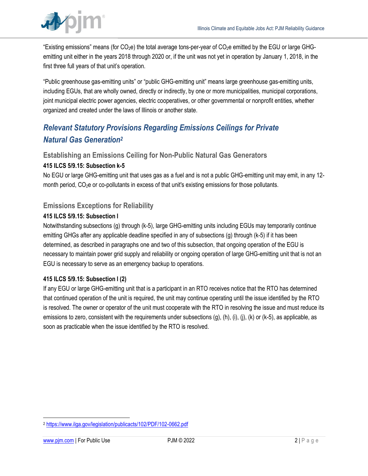

"Existing emissions" means (for  $CO<sub>2</sub>e$ ) the total average tons-per-year of  $CO<sub>2</sub>e$  emitted by the EGU or large GHGemitting unit either in the years 2018 through 2020 or, if the unit was not yet in operation by January 1, 2018, in the first three full years of that unit's operation.

"Public greenhouse gas-emitting units" or "public GHG-emitting unit" means large greenhouse gas-emitting units, including EGUs, that are wholly owned, directly or indirectly, by one or more municipalities, municipal corporations, joint municipal electric power agencies, electric cooperatives, or other governmental or nonprofit entities, whether organized and created under the laws of Illinois or another state.

### <span id="page-4-0"></span>*Relevant Statutory Provisions Regarding Emissions Ceilings for Private Natural Gas Generation<sup>2</sup>*

#### <span id="page-4-1"></span>**Establishing an Emissions Ceiling for Non-Public Natural Gas Generators**

#### **415 ILCS 5/9.15: Subsection k-5**

No EGU or large GHG-emitting unit that uses gas as a fuel and is not a public GHG-emitting unit may emit, in any 12 month period, CO<sub>2</sub>e or co-pollutants in excess of that unit's existing emissions for those pollutants.

#### <span id="page-4-2"></span>**Emissions Exceptions for Reliability**

#### **415 ILCS 5/9.15: Subsection l**

Notwithstanding subsections (g) through (k-5), large GHG-emitting units including EGUs may temporarily continue emitting GHGs after any applicable deadline specified in any of subsections (g) through (k-5) if it has been determined, as described in paragraphs one and two of this subsection, that ongoing operation of the EGU is necessary to maintain power grid supply and reliability or ongoing operation of large GHG-emitting unit that is not an EGU is necessary to serve as an emergency backup to operations.

#### **415 ILCS 5/9.15: Subsection l (2)**

If any EGU or large GHG-emitting unit that is a participant in an RTO receives notice that the RTO has determined that continued operation of the unit is required, the unit may continue operating until the issue identified by the RTO is resolved. The owner or operator of the unit must cooperate with the RTO in resolving the issue and must reduce its emissions to zero, consistent with the requirements under subsections (g), (h), (i), (i), (k) or (k-5), as applicable, as soon as practicable when the issue identified by the RTO is resolved.

<sup>2</sup> <https://www.ilga.gov/legislation/publicacts/102/PDF/102-0662.pdf>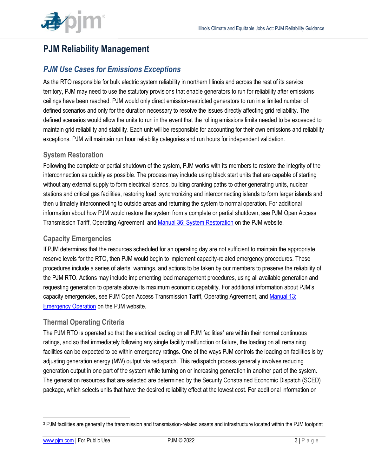

## <span id="page-5-0"></span>**PJM Reliability Management**

#### <span id="page-5-1"></span>*PJM Use Cases for Emissions Exceptions*

As the RTO responsible for bulk electric system reliability in northern Illinois and across the rest of its service territory, PJM may need to use the statutory provisions that enable generators to run for reliability after emissions ceilings have been reached. PJM would only direct emission-restricted generators to run in a limited number of defined scenarios and only for the duration necessary to resolve the issues directly affecting grid reliability. The defined scenarios would allow the units to run in the event that the rolling emissions limits needed to be exceeded to maintain grid reliability and stability. Each unit will be responsible for accounting for their own emissions and reliability exceptions. PJM will maintain run hour reliability categories and run hours for independent validation.

#### <span id="page-5-2"></span>**System Restoration**

Following the complete or partial shutdown of the system, PJM works with its members to restore the integrity of the interconnection as quickly as possible. The process may include using black start units that are capable of starting without any external supply to form electrical islands, building cranking paths to other generating units, nuclear stations and critical gas facilities, restoring load, synchronizing and interconnecting islands to form larger islands and then ultimately interconnecting to outside areas and returning the system to normal operation. For additional information about how PJM would restore the system from a complete or partial shutdown, see PJM Open Access Transmission Tariff, Operating Agreement, and Manual 36: [System Restoration](https://www.pjm.com/-/media/documents/manuals/m36.ashx) on the PJM website.

#### <span id="page-5-3"></span>**Capacity Emergencies**

If PJM determines that the resources scheduled for an operating day are not sufficient to maintain the appropriate reserve levels for the RTO, then PJM would begin to implement capacity-related emergency procedures. These procedures include a series of alerts, warnings, and actions to be taken by our members to preserve the reliability of the PJM RTO. Actions may include implementing load management procedures, using all available generation and requesting generation to operate above its maximum economic capability. For additional information about PJM's capacity emergencies, see PJM Open Access Transmission Tariff, Operating Agreement, an[d Manual 13:](https://www.pjm.com/-/media/documents/manuals/m13.ashx)  [Emergency Operation](https://www.pjm.com/-/media/documents/manuals/m13.ashx) on the PJM website.

#### <span id="page-5-4"></span>**Thermal Operating Criteria**

The PJM RTO is operated so that the electrical loading on all PJM facilities<sup>3</sup> are within their normal continuous ratings, and so that immediately following any single facility malfunction or failure, the loading on all remaining facilities can be expected to be within emergency ratings. One of the ways PJM controls the loading on facilities is by adjusting generation energy (MW) output via redispatch. This redispatch process generally involves reducing generation output in one part of the system while turning on or increasing generation in another part of the system. The generation resources that are selected are determined by the Security Constrained Economic Dispatch (SCED) package, which selects units that have the desired reliability effect at the lowest cost. For additional information on

<sup>3</sup> PJM facilities are generally the transmission and transmission-related assets and infrastructure located within the PJM footprint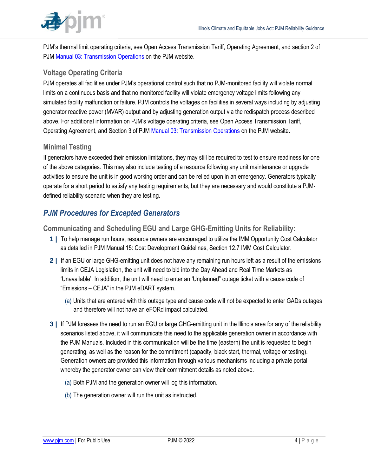

PJM's thermal limit operating criteria, see Open Access Transmission Tariff, Operating Agreement, and section 2 of PJ[M Manual 03: Transmission Operations](https://www.pjm.com/-/media/documents/manuals/m03.ashx) on the PJM website.

#### <span id="page-6-0"></span>**Voltage Operating Criteria**

PJM operates all facilities under PJM's operational control such that no PJM-monitored facility will violate normal limits on a continuous basis and that no monitored facility will violate emergency voltage limits following any simulated facility malfunction or failure. PJM controls the voltages on facilities in several ways including by adjusting generator reactive power (MVAR) output and by adjusting generation output via the redispatch process described above. For additional information on PJM's voltage operating criteria, see Open Access Transmission Tariff, Operating Agreement, and Section 3 of PJ[M Manual 03: Transmission Operations](https://www.pjm.com/-/media/documents/manuals/m03.ashx) on the PJM website.

#### <span id="page-6-1"></span>**Minimal Testing**

If generators have exceeded their emission limitations, they may still be required to test to ensure readiness for one of the above categories. This may also include testing of a resource following any unit maintenance or upgrade activities to ensure the unit is in good working order and can be relied upon in an emergency. Generators typically operate for a short period to satisfy any testing requirements, but they are necessary and would constitute a PJMdefined reliability scenario when they are testing.

#### <span id="page-6-2"></span>*PJM Procedures for Excepted Generators*

<span id="page-6-3"></span>**Communicating and Scheduling EGU and Large GHG-Emitting Units for Reliability:**

- **1 |** To help manage run hours, resource owners are encouraged to utilize the IMM Opportunity Cost Calculator as detailed in PJM Manual 15: Cost Development Guidelines, Section 12.7 IMM Cost Calculator.
- **2 |** If an EGU or large GHG-emitting unit does not have any remaining run hours left as a result of the emissions limits in CEJA Legislation, the unit will need to bid into the Day Ahead and Real Time Markets as 'Unavailable'. In addition, the unit will need to enter an 'Unplanned" outage ticket with a cause code of "Emissions – CEJA" in the PJM eDART system.
	- (a) Units that are entered with this outage type and cause code will not be expected to enter GADs outages and therefore will not have an eFORd impact calculated.
- **3 |** If PJM foresees the need to run an EGU or large GHG-emitting unit in the Illinois area for any of the reliability scenarios listed above, it will communicate this need to the applicable generation owner in accordance with the PJM Manuals. Included in this communication will be the time (eastern) the unit is requested to begin generating, as well as the reason for the commitment (capacity, black start, thermal, voltage or testing). Generation owners are provided this information through various mechanisms including a private portal whereby the generator owner can view their commitment details as noted above.
	- (a) Both PJM and the generation owner will log this information.
	- (b) The generation owner will run the unit as instructed.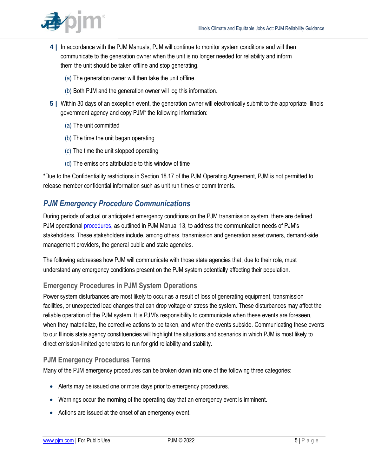

- **4 |** In accordance with the PJM Manuals, PJM will continue to monitor system conditions and will then communicate to the generation owner when the unit is no longer needed for reliability and inform them the unit should be taken offline and stop generating.
	- (a) The generation owner will then take the unit offline.
	- (b) Both PJM and the generation owner will log this information.
- **5 |** Within 30 days of an exception event, the generation owner will electronically submit to the appropriate Illinois government agency and copy PJM\* the following information:
	- (a) The unit committed
	- (b) The time the unit began operating
	- (c) The time the unit stopped operating
	- (d) The emissions attributable to this window of time

\*Due to the Confidentiality restrictions in Section 18.17 of the PJM Operating Agreement, PJM is not permitted to release member confidential information such as unit run times or commitments.

#### <span id="page-7-0"></span>*PJM Emergency Procedure Communications*

During periods of actual or anticipated emergency conditions on the PJM transmission system, there are defined PJM operationa[l procedures,](https://pjm.com/~/media/documents/manuals/m13.ashx) as outlined in PJM Manual 13, to address the communication needs of PJM's stakeholders. These stakeholders include, among others, transmission and generation asset owners, demand-side management providers, the general public and state agencies.

The following addresses how PJM will communicate with those state agencies that, due to their role, must understand any emergency conditions present on the PJM system potentially affecting their population.

#### <span id="page-7-1"></span>**Emergency Procedures in PJM System Operations**

Power system disturbances are most likely to occur as a result of loss of generating equipment, transmission facilities, or unexpected load changes that can drop voltage or stress the system. These disturbances may affect the reliable operation of the PJM system. It is PJM's responsibility to communicate when these events are foreseen, when they materialize, the corrective actions to be taken, and when the events subside. Communicating these events to our Illinois state agency constituencies will highlight the situations and scenarios in which PJM is most likely to direct emission-limited generators to run for grid reliability and stability.

#### <span id="page-7-2"></span>**PJM Emergency Procedures Terms**

Many of the PJM emergency procedures can be broken down into one of the following three categories:

- Alerts may be issued one or more days prior to emergency procedures.
- Warnings occur the morning of the operating day that an emergency event is imminent.
- Actions are issued at the onset of an emergency event.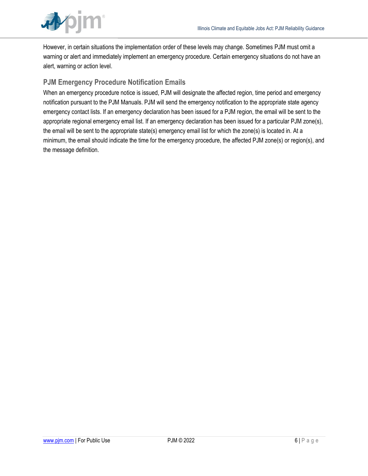

However, in certain situations the implementation order of these levels may change. Sometimes PJM must omit a warning or alert and immediately implement an emergency procedure. Certain emergency situations do not have an alert, warning or action level.

#### <span id="page-8-0"></span>**PJM Emergency Procedure Notification Emails**

When an emergency procedure notice is issued, PJM will designate the affected region, time period and emergency notification pursuant to the PJM Manuals. PJM will send the emergency notification to the appropriate state agency emergency contact lists. If an emergency declaration has been issued for a PJM region, the email will be sent to the appropriate regional emergency email list. If an emergency declaration has been issued for a particular PJM zone(s), the email will be sent to the appropriate state(s) emergency email list for which the zone(s) is located in. At a minimum, the email should indicate the time for the emergency procedure, the affected PJM zone(s) or region(s), and the message definition.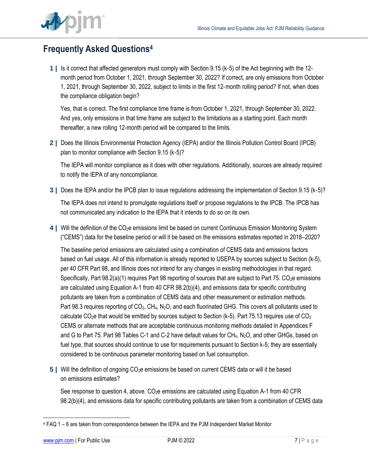

# <span id="page-9-0"></span>**Frequently Asked Questions<sup>4</sup>**

**1 |** Is it correct that affected generators must comply with Section 9.15 (k‐5) of the Act beginning with the 12 month period from October 1, 2021, through September 30, 2022? If correct, are only emissions from October 1, 2021, through September 30, 2022, subject to limits in the first 12‐month rolling period? If not, when does the compliance obligation begin?

Yes, that is correct. The first compliance time frame is from October 1, 2021, through September 30, 2022. And yes, only emissions in that time frame are subject to the limitations as a starting point. Each month thereafter, a new rolling 12-month period will be compared to the limits.

**2 |** Does the Illinois Environmental Protection Agency (IEPA) and/or the Illinois Pollution Control Board (IPCB) plan to monitor compliance with Section 9.15 (k‐5)?

The IEPA will monitor compliance as it does with other regulations. Additionally, sources are already required to notify the IEPA of any noncompliance.

**3 |** Does the IEPA and/or the IPCB plan to issue regulations addressing the implementation of Section 9.15 (k‐5)?

The IEPA does not intend to promulgate regulations itself or propose regulations to the IPCB. The IPCB has not communicated any indication to the IEPA that it intends to do so on its own.

**4** | Will the definition of the CO<sub>2</sub>e emissions limit be based on current Continuous Emission Monitoring System ("CEMS") data for the baseline period or will it be based on the emissions estimates reported in 2018–2020?

The baseline period emissions are calculated using a combination of CEMS data and emissions factors based on fuel usage. All of this information is already reported to USEPA by sources subject to Section (k-5), per 40 CFR Part 98, and Illinois does not intend for any changes in existing methodologies in that regard. Specifically, Part  $98.2(a)(1)$  requires Part 98 reporting of sources that are subject to Part 75. CO<sub>2</sub>e emissions are calculated using Equation A-1 from 40 CFR 98.2(b)(4), and emissions data for specific contributing pollutants are taken from a combination of CEMS data and other measurement or estimation methods. Part 98.3 requires reporting of CO<sub>2</sub>, CH<sub>4</sub>, N<sub>2</sub>O, and each fluorinated GHG. This covers all pollutants used to calculate  $CO<sub>2</sub>e$  that would be emitted by sources subject to Section (k-5). Part 75.13 requires use of  $CO<sub>2</sub>$ CEMS or alternate methods that are acceptable continuous monitoring methods detailed in Appendices F and G to Part 75. Part 98 Tables C-1 and C-2 have default values for CH4, N2O, and other GHGs, based on fuel type, that sources should continue to use for requirements pursuant to Section k-5; they are essentially considered to be continuous parameter monitoring based on fuel consumption.

**5** | Will the definition of ongoing CO<sub>2</sub>e emissions be based on current CEMS data or will it be based on emissions estimates?

See response to question 4, above.  $CO<sub>2</sub>e$  emissions are calculated using Equation A-1 from 40 CFR 98.2(b)(4), and emissions data for specific contributing pollutants are taken from a combination of CEMS data

<sup>4</sup> FAQ 1 – 6 are taken from correspondence between the IEPA and the PJM Independent Market Monitor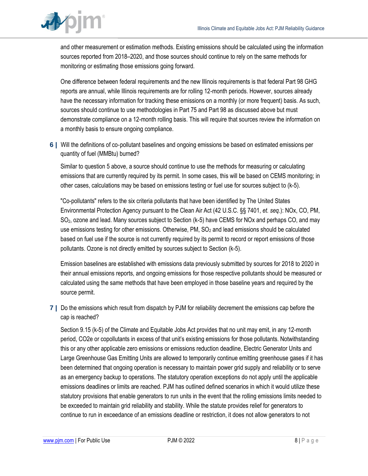

and other measurement or estimation methods. Existing emissions should be calculated using the information sources reported from 2018–2020, and those sources should continue to rely on the same methods for monitoring or estimating those emissions going forward.

One difference between federal requirements and the new Illinois requirements is that federal Part 98 GHG reports are annual, while Illinois requirements are for rolling 12-month periods. However, sources already have the necessary information for tracking these emissions on a monthly (or more frequent) basis. As such, sources should continue to use methodologies in Part 75 and Part 98 as discussed above but must demonstrate compliance on a 12-month rolling basis. This will require that sources review the information on a monthly basis to ensure ongoing compliance.

**6 |** Will the definitions of co‐pollutant baselines and ongoing emissions be based on estimated emissions per quantity of fuel (MMBtu) burned?

Similar to question 5 above, a source should continue to use the methods for measuring or calculating emissions that are currently required by its permit. In some cases, this will be based on CEMS monitoring; in other cases, calculations may be based on emissions testing or fuel use for sources subject to (k-5).

"Co-pollutants" refers to the six criteria pollutants that have been identified by The United States Environmental Protection Agency pursuant to the Clean Air Act (42 U.S.C. §§ 7401, *et. seq.*): NOx, CO, PM, SO2, ozone and lead. Many sources subject to Section (k-5) have CEMS for NOx and perhaps CO, and may use emissions testing for other emissions. Otherwise, PM,  $SO<sub>2</sub>$  and lead emissions should be calculated based on fuel use if the source is not currently required by its permit to record or report emissions of those pollutants. Ozone is not directly emitted by sources subject to Section (k-5).

Emission baselines are established with emissions data previously submitted by sources for 2018 to 2020 in their annual emissions reports, and ongoing emissions for those respective pollutants should be measured or calculated using the same methods that have been employed in those baseline years and required by the source permit.

**7 |** Do the emissions which result from dispatch by PJM for reliability decrement the emissions cap before the cap is reached?

Section 9.15 (k-5) of the Climate and Equitable Jobs Act provides that no unit may emit, in any 12-month period, CO2e or copollutants in excess of that unit's existing emissions for those pollutants. Notwithstanding this or any other applicable zero emissions or emissions reduction deadline, Electric Generator Units and Large Greenhouse Gas Emitting Units are allowed to temporarily continue emitting greenhouse gases if it has been determined that ongoing operation is necessary to maintain power grid supply and reliability or to serve as an emergency backup to operations. The statutory operation exceptions do not apply until the applicable emissions deadlines or limits are reached. PJM has outlined defined scenarios in which it would utilize these statutory provisions that enable generators to run units in the event that the rolling emissions limits needed to be exceeded to maintain grid reliability and stability. While the statute provides relief for generators to continue to run in exceedance of an emissions deadline or restriction, it does not allow generators to not